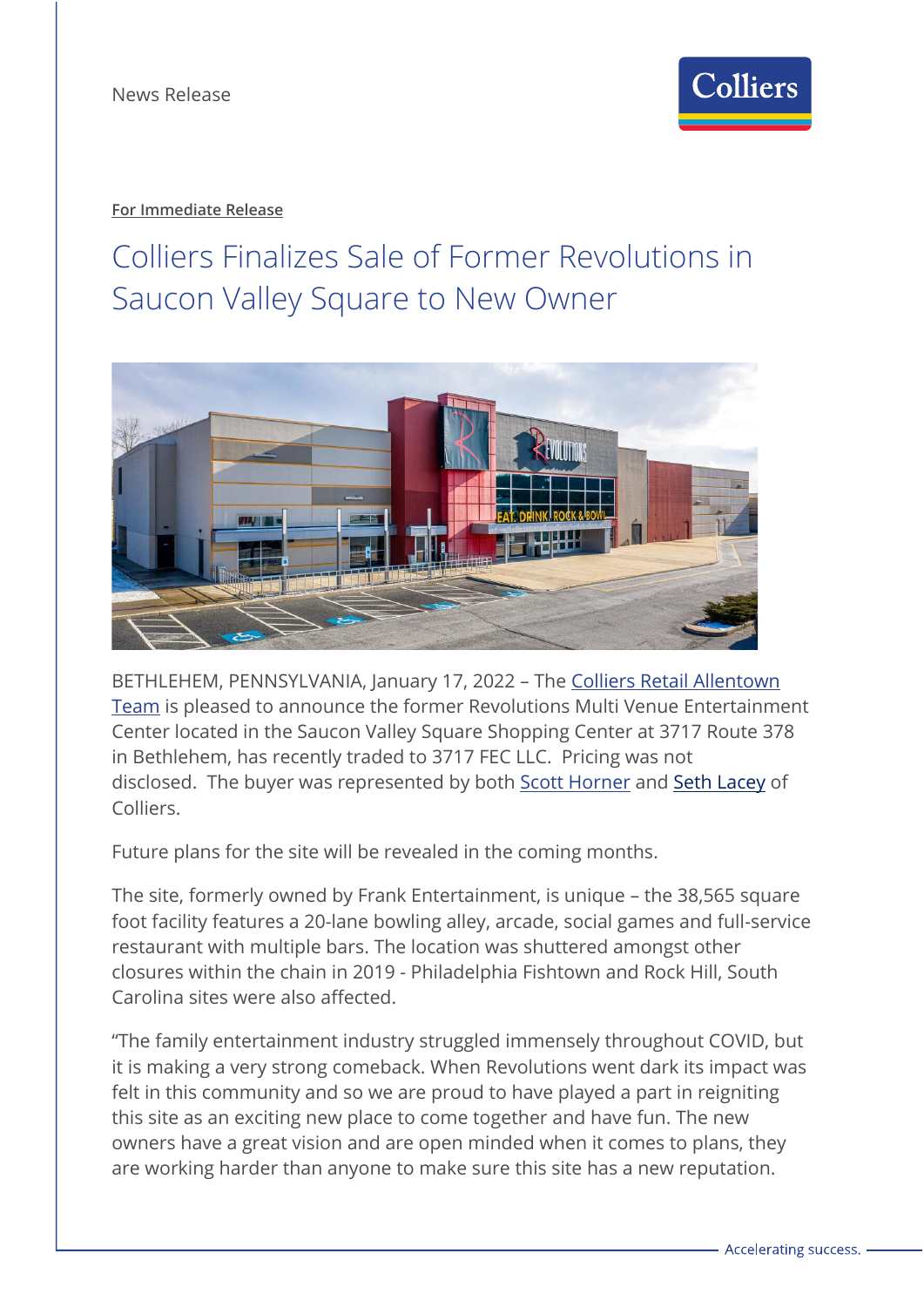

# **For Immediate Release**

# Colliers Finalizes Sale of Former Revolutions in Saucon Valley Square to New Owner



BETHLEHEM, PENNSYLVANIA, January 17, 2022 – The [Colliers Retail Allentown](https://www.colliers.com/en/united-states/cities/allentown) [Team](https://www.colliers.com/en/united-states/cities/allentown) is pleased to announce the former Revolutions Multi Venue Entertainment Center located in the Saucon Valley Square Shopping Center at 3717 Route 378 in Bethlehem, has recently traded to 3717 FEC LLC. Pricing was not disclosed. The buyer was represented by both [Scott Horner](https://www.colliers.com/en/experts/scott-horner) and [Seth Lacey](https://www.colliers.com/en/experts/seth-lacey) of Colliers.

Future plans for the site will be revealed in the coming months.

The site, formerly owned by Frank Entertainment, is unique – the 38,565 square foot facility features a 20-lane bowling alley, arcade, social games and full-service restaurant with multiple bars. The location was shuttered amongst other closures within the chain in 2019 - Philadelphia Fishtown and Rock Hill, South Carolina sites were also affected.

"The family entertainment industry struggled immensely throughout COVID, but it is making a very strong comeback. When Revolutions went dark its impact was felt in this community and so we are proud to have played a part in reigniting this site as an exciting new place to come together and have fun. The new owners have a great vision and are open minded when it comes to plans, they are working harder than anyone to make sure this site has a new reputation.